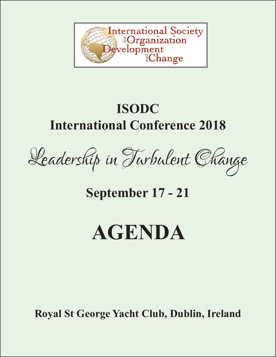

## **ISODC International Conference 2018**



**September 17 - 21**

# **AGENDA**

**Royal St George Yacht Club, Dublin, Ireland**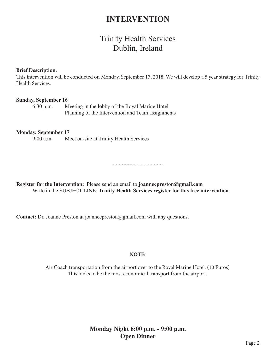### **INTERVENTION**

## Trinity Health Services Dublin, Ireland

#### **Brief Description:**

This intervention will be conducted on Monday, September 17, 2018. We will develop a 5 year strategy for Trinity Health Services.

~~~~~~~~~~~~~~~~~

#### **Sunday, September 16**

6:30 p.m. Meeting in the lobby of the Royal Marine Hotel Planning of the Intervention and Team assignments

#### **Monday, September 17**

9:00 a.m. Meet on-site at Trinity Health Services

**Register for the Intervention:** Please send an email to **joannecpreston@gmail.com** Write in the SUBJECT LINE: **Trinity Health Services register for this free intervention**.

**Contact:** Dr. Joanne Preston at joannecpreston@gmail.com with any questions.

#### **NOTE:**

Air Coach transportation from the airport over to the Royal Marine Hotel. (10 Euros) This looks to be the most economical transport from the airport.

#### **Monday Night 6:00 p.m. - 9:00 p.m. Open Dinner**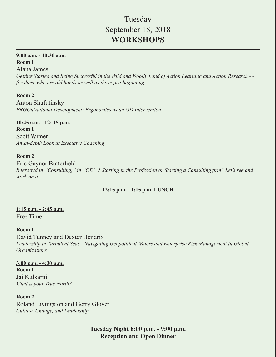## Tuesday September 18, 2018 **WORKSHOPS**

#### **9:00 a.m. - 10:30 a.m.**

#### **Room 1**

Alana James *Getting Started and Being Successful in the Wild and Woolly Land of Action Learning and Action Research - for those who are old hands as well as those just beginning*

#### **Room 2**

Anton Shufutinsky *ERGOnizational Development: Ergonomics as an OD Intervention*

**10:45 a.m. - 12: 15 p.m. Room 1** Scott Wimer *An In-depth Look at Executive Coaching*

#### **Room 2**

Eric Gaynor Butterfield *Interested in "Consulting," in "OD" ? Starting in the Profession or Starting a Consulting firm? Let's see and work on it.*

#### **12:15 p.m. - 1:15 p.m. LUNCH**

#### **1:15 p.m. - 2:45 p.m.** Free Time

#### **Room 1**

David Tunney and Dexter Hendrix *Leadership in Turbulent Seas - Navigating Geopolitical Waters and Enterprise Risk Management in Global Organizations*

#### **3:00 p.m. - 4:30 p.m. Room 1** Jai Kulkarni

*What is your True North?*

#### **Room 2** Roland Livingston and Gerry Glover *Culture, Change, and Leadership*

**Tuesday Night 6:00 p.m. - 9:00 p.m. Reception and Open Dinner**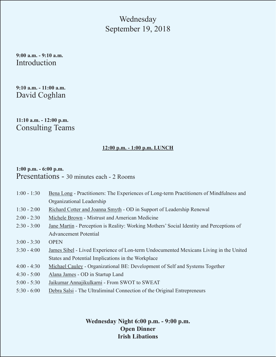## Wednesday September 19, 2018

**9:00 a.m. - 9:10 a.m.** Introduction

**9:10 a.m. - 11:00 a.m.** David Coghlan

**11:10 a.m. - 12:00 p.m.** Consulting Teams

#### **12:00 p.m. - 1:00 p.m. LUNCH**

#### **1:00 p.m. - 6:00 p.m.**  Presentations - 30 minutes each - 2 Rooms

| $1:00 - 1:30$ | Bena Long - Practitioners: The Experiences of Long-term Practitioners of Mindfulness and        |
|---------------|-------------------------------------------------------------------------------------------------|
|               | Organizational Leadership                                                                       |
| $1:30 - 2:00$ | Richard Cotter and Joanna Smyth - OD in Support of Leadership Renewal                           |
| $2:00 - 2:30$ | Michele Brown - Mistrust and American Medicine                                                  |
| $2:30 - 3:00$ | <u>Jane Martin</u> - Perception is Reality: Working Mothers' Social Identity and Perceptions of |
|               | <b>Advancement Potential</b>                                                                    |
| $3:00 - 3:30$ | <b>OPEN</b>                                                                                     |
| $3:30 - 4:00$ | James Sibel - Lived Experience of Lon-term Undocumented Mexicans Living in the United           |
|               | States and Potential Implications in the Workplace                                              |
| $4:00 - 4:30$ | Michael Cauley - Organizational BE: Development of Self and Systems Together                    |
| $4:30 - 5:00$ | Alana James - OD in Startup Land                                                                |
| $5:00 - 5:30$ | Jaikumar Annajikulkarni - From SWOT to SWEAT                                                    |
| $5:30 - 6:00$ | Debra Salsi - The Ultraliminal Connection of the Original Entrepreneurs                         |

**Wednesday Night 6:00 p.m. - 9:00 p.m. Open Dinner Irish Libations**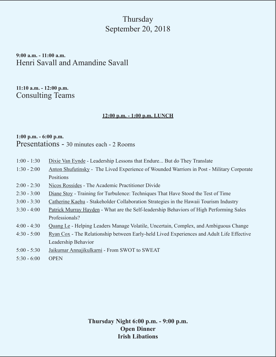## **Thursday** September 20, 2018

**9:00 a.m. - 11:00 a.m.** Henri Savall and Amandine Savall

**11:10 a.m. - 12:00 p.m.** Consulting Teams

#### **12:00 p.m. - 1:00 p.m. LUNCH**

#### **1:00 p.m. - 6:00 p.m.**  Presentations - 30 minutes each - 2 Rooms

- 1:00 1:30 Dixie Van Eynde Leadership Lessons that Endure... But do They Translate
- 1:30 2:00 Anton Shufutinsky The Lived Experience of Wounded Warriors in Post Military Corporate **Positions**
- 2:00 2:30 Nicos Rossides The Academic Practitioner Divide
- 2:30 3:00 Diane Stoy Training for Turbulence: Techniques That Have Stood the Test of Time
- 3:00 3:30 Catherine Kaehu Stakeholder Collaboration Strategies in the Hawaii Tourism Industry
- 3:30 4:00 Patrick Murray Hayden What are the Self-leadership Behaviors of High Performing Sales Professionals?
- 4:00 4:30 Quang Le Helping Leaders Manage Volatile, Uncertain, Complex, and Ambiguous Change
- 4:30 5:00 Ryan Cox The Relationship between Early-held Lived Experiences and Adult Life Effective Leadership Behavior
- 5:00 5:30 Jaikumar Annajikulkarni From SWOT to SWEAT
- 5:30 6:00 OPEN

**Thursday Night 6:00 p.m. - 9:00 p.m. Open Dinner Irish Libations**